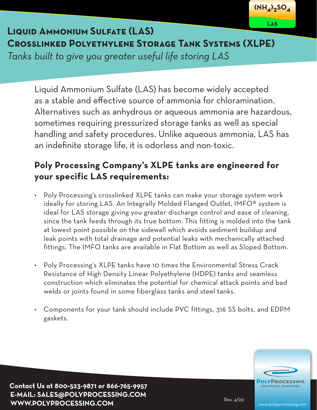

# **Liquid Ammonium Sulfate (LAS) Crosslinked Polyethylene Storage Tank Systems (XLPE)**

*Tanks built to give you greater useful life storing LAS*

Liquid Ammonium Sulfate (LAS) has become widely accepted as a stable and effective source of ammonia for chloramination. Alternatives such as anhydrous or aqueous ammonia are hazardous, sometimes requiring pressurized storage tanks as well as special handling and safety procedures. Unlike aqueous ammonia, LAS has an indefinite storage life, it is odorless and non-toxic.

### **Poly Processing Company's XLPE tanks are engineered for your specific LAS requirements:**

- Poly Processing's crosslinked XLPE tanks can make your storage system work ideally for storing LAS. An Integrally Molded Flanged Outlet, IMFO® system is ideal for LAS storage giving you greater discharge control and ease of cleaning, since the tank feeds through its true bottom. This fitting is molded into the tank at lowest point possible on the sidewall which avoids sediment buildup and leak points with total drainage and potential leaks with mechanically attached fittings. The IMFO tanks are available in Flat Bottom as well as Sloped Bottom.
- Poly Processing's XLPE tanks have 10 times the Environmental Stress Crack Resistance of High Density Linear Polyethylene (HDPE) tanks and seamless construction which eliminates the potential for chemical attack points and bad welds or joints found in some fiberglass tanks and steel tanks.
- Components for your tank should include PVC fittings, 316 SS bolts, and EDPM gaskets.



**Contact Us at 800-523-9871 or 866-765-9957 E-MAIL: SALES@POLYPROCESSING.COM WWW.POLYPROCESSING.COM** Rev. 4/20